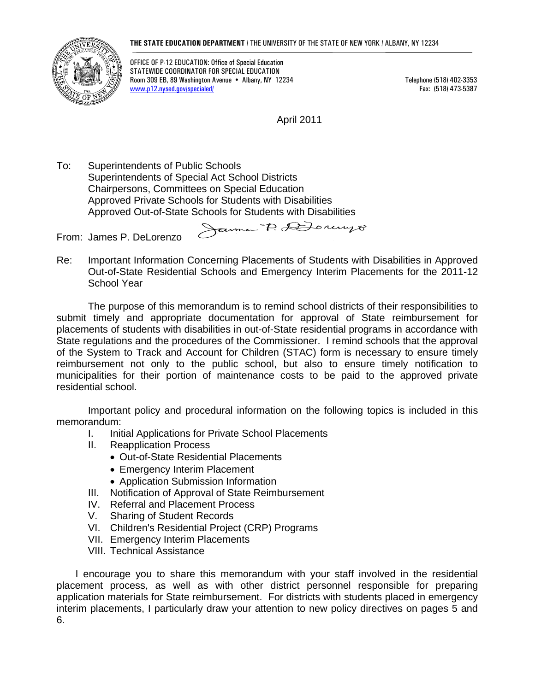#### **THE STATE EDUCATION DEPARTMENT** / THE UNIVERSITY OF THE STATE OF NEW YORK / ALBANY, NY 12234



OFFICE OF P-12 EDUCATION: Office of Special Education STATEWIDE COORDINATOR FOR SPECIAL EDUCATION Room 309 EB, 89 Washington Avenue • Albany, NY 12234 Telephone (518) 402-3353 www.p12.nysed.gov/specialed/ Fax: (518) 473-5387

April 2011

To: Superintendents of Public Schools Superintendents of Special Act School Districts Chairpersons, Committees on Special Education Approved Private Schools for Students with Disabilities Approved Out-of-State Schools for Students with Disabilities

From: James P. DeLorenzo

Re: Important Information Concerning Placements of Students with Disabilities in Approved Out-of-State Residential Schools and Emergency Interim Placements for the 2011-12 School Year

Janne P. Donnyo

 The purpose of this memorandum is to remind school districts of their responsibilities to submit timely and appropriate documentation for approval of State reimbursement for placements of students with disabilities in out-of-State residential programs in accordance with State regulations and the procedures of the Commissioner. I remind schools that the approval of the System to Track and Account for Children (STAC) form is necessary to ensure timely reimbursement not only to the public school, but also to ensure timely notification to municipalities for their portion of maintenance costs to be paid to the approved private residential school.

 Important policy and procedural information on the following topics is included in this memorandum:

- I. Initial Applications for Private School Placements
- II. Reapplication Process
	- Out-of-State Residential Placements
		- Emergency Interim Placement
	- Application Submission Information
- III. Notification of Approval of State Reimbursement
- IV. Referral and Placement Process
- V. Sharing of Student Records
- VI. Children's Residential Project (CRP) Programs
- VII. Emergency Interim Placements
- VIII. Technical Assistance

 I encourage you to share this memorandum with your staff involved in the residential placement process, as well as with other district personnel responsible for preparing application materials for State reimbursement. For districts with students placed in emergency interim placements, I particularly draw your attention to new policy directives on pages 5 and 6.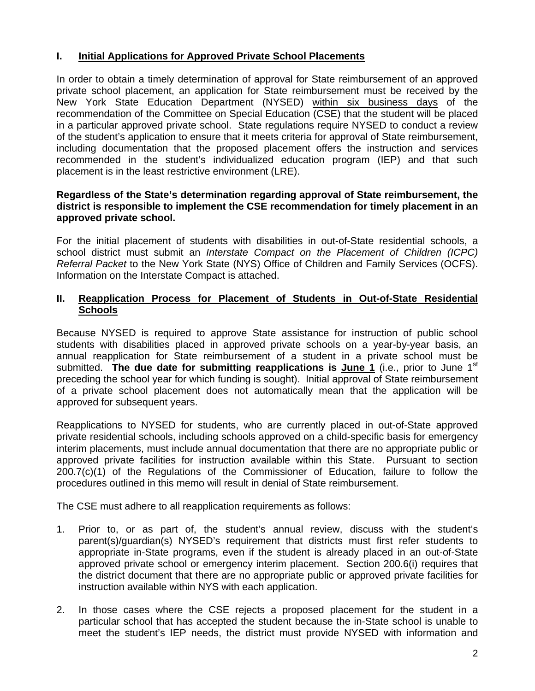### **I. Initial Applications for Approved Private School Placements**

In order to obtain a timely determination of approval for State reimbursement of an approved private school placement, an application for State reimbursement must be received by the New York State Education Department (NYSED) within six business days of the recommendation of the Committee on Special Education (CSE) that the student will be placed in a particular approved private school. State regulations require NYSED to conduct a review of the student's application to ensure that it meets criteria for approval of State reimbursement, including documentation that the proposed placement offers the instruction and services recommended in the student's individualized education program (IEP) and that such placement is in the least restrictive environment (LRE).

#### **Regardless of the State's determination regarding approval of State reimbursement, the district is responsible to implement the CSE recommendation for timely placement in an approved private school.**

For the initial placement of students with disabilities in out-of-State residential schools, a school district must submit an *Interstate Compact on the Placement of Children (ICPC) Referral Packet* to the New York State (NYS) Office of Children and Family Services (OCFS). Information on the Interstate Compact is attached.

#### **II. Reapplication Process for Placement of Students in Out-of-State Residential Schools**

Because NYSED is required to approve State assistance for instruction of public school students with disabilities placed in approved private schools on a year-by-year basis, an annual reapplication for State reimbursement of a student in a private school must be submitted. **The due date for submitting reapplications is June 1** (i.e., prior to June 1<sup>st</sup> preceding the school year for which funding is sought). Initial approval of State reimbursement of a private school placement does not automatically mean that the application will be approved for subsequent years.

Reapplications to NYSED for students, who are currently placed in out-of-State approved private residential schools, including schools approved on a child-specific basis for emergency interim placements, must include annual documentation that there are no appropriate public or approved private facilities for instruction available within this State. Pursuant to section 200.7(c)(1) of the Regulations of the Commissioner of Education, failure to follow the procedures outlined in this memo will result in denial of State reimbursement.

The CSE must adhere to all reapplication requirements as follows:

- 1. Prior to, or as part of, the student's annual review, discuss with the student's parent(s)/guardian(s) NYSED's requirement that districts must first refer students to appropriate in-State programs, even if the student is already placed in an out-of-State approved private school or emergency interim placement. Section 200.6(i) requires that the district document that there are no appropriate public or approved private facilities for instruction available within NYS with each application.
- 2. In those cases where the CSE rejects a proposed placement for the student in a particular school that has accepted the student because the in-State school is unable to meet the student's IEP needs, the district must provide NYSED with information and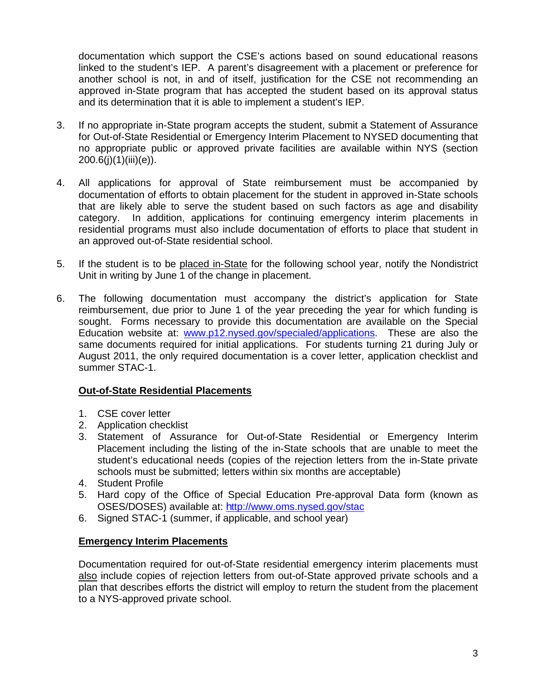documentation which support the CSE's actions based on sound educational reasons linked to the student's IEP. A parent's disagreement with a placement or preference for another school is not, in and of itself, justification for the CSE not recommending an approved in-State program that has accepted the student based on its approval status and its determination that it is able to implement a student's IEP.

- 3. If no appropriate in-State program accepts the student, submit a Statement of Assurance for Out-of-State Residential or Emergency Interim Placement to NYSED documenting that no appropriate public or approved private facilities are available within NYS (section 200.6(j)(1)(iii)(e)).
- 4. All applications for approval of State reimbursement must be accompanied by documentation of efforts to obtain placement for the student in approved in-State schools that are likely able to serve the student based on such factors as age and disability category. In addition, applications for continuing emergency interim placements in residential programs must also include documentation of efforts to place that student in an approved out-of-State residential school.
- 5. If the student is to be placed in-State for the following school year, notify the Nondistrict Unit in writing by June 1 of the change in placement.
- 6. The following documentation must accompany the district's application for State reimbursement, due prior to June 1 of the year preceding the year for which funding is sought. Forms necessary to provide this documentation are available on the Special Education website at: [www.p12.nysed.gov/specialed/applications](http://www.p12.nysed.gov/specialed/applications). These are also the same documents required for initial applications. For students turning 21 during July or August 2011, the only required documentation is a cover letter, application checklist and summer STAC-1.

### **Out-of-State Residential Placements**

- 1. CSE cover letter
- 2. Application checklist
- 3. Statement of Assurance for Out-of-State Residential or Emergency Interim Placement including the listing of the in-State schools that are unable to meet the student's educational needs (copies of the rejection letters from the in-State private schools must be submitted; letters within six months are acceptable)
- 4. Student Profile
- 5. Hard copy of the Office of Special Education Pre-approval Data form (known as OSES/DOSES) available at: http://www.oms.nysed.gov/stac
- 6. Signed STAC-1 (summer, if applicable, and school year)

#### **Emergency Interim Placements**

 Documentation required for out-of-State residential emergency interim placements must also include copies of rejection letters from out-of-State approved private schools and a plan that describes efforts the district will employ to return the student from the placement to a NYS-approved private school.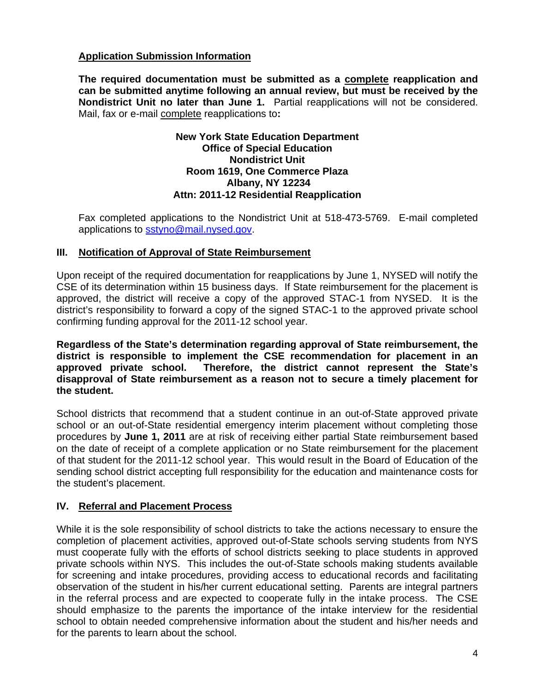### **Application Submission Information**

 **The required documentation must be submitted as a complete reapplication and can be submitted anytime following an annual review, but must be received by the Nondistrict Unit no later than June 1.** Partial reapplications will not be considered. Mail, fax or e-mail complete reapplications to**:** 

#### **New York State Education Department Office of Special Education Nondistrict Unit Room 1619, One Commerce Plaza Albany, NY 12234 Attn: 2011-12 Residential Reapplication**

 Fax completed applications to the Nondistrict Unit at 518-473-5769. E-mail completed applications to [sstyno@mail.nysed.gov](mailto:sstyno@mail.nysed.gov).

#### **III. Notification of Approval of State Reimbursement**

Upon receipt of the required documentation for reapplications by June 1, NYSED will notify the CSE of its determination within 15 business days. If State reimbursement for the placement is approved, the district will receive a copy of the approved STAC-1 from NYSED. It is the district's responsibility to forward a copy of the signed STAC-1 to the approved private school confirming funding approval for the 2011-12 school year.

**Regardless of the State's determination regarding approval of State reimbursement, the district is responsible to implement the CSE recommendation for placement in an approved private school. Therefore, the district cannot represent the State's disapproval of State reimbursement as a reason not to secure a timely placement for the student.** 

School districts that recommend that a student continue in an out-of-State approved private school or an out-of-State residential emergency interim placement without completing those procedures by **June 1, 2011** are at risk of receiving either partial State reimbursement based on the date of receipt of a complete application or no State reimbursement for the placement of that student for the 2011-12 school year. This would result in the Board of Education of the sending school district accepting full responsibility for the education and maintenance costs for the student's placement.

### **IV. Referral and Placement Process**

While it is the sole responsibility of school districts to take the actions necessary to ensure the completion of placement activities, approved out-of-State schools serving students from NYS must cooperate fully with the efforts of school districts seeking to place students in approved private schools within NYS. This includes the out-of-State schools making students available for screening and intake procedures, providing access to educational records and facilitating observation of the student in his/her current educational setting. Parents are integral partners in the referral process and are expected to cooperate fully in the intake process. The CSE should emphasize to the parents the importance of the intake interview for the residential school to obtain needed comprehensive information about the student and his/her needs and for the parents to learn about the school.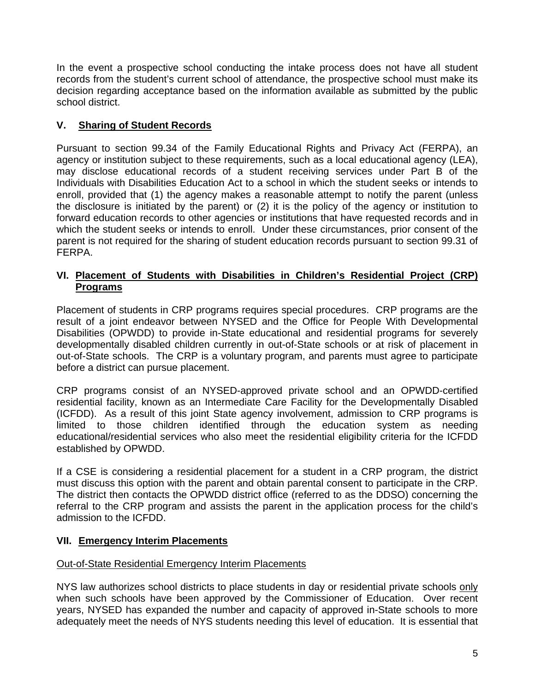In the event a prospective school conducting the intake process does not have all student records from the student's current school of attendance, the prospective school must make its decision regarding acceptance based on the information available as submitted by the public school district.

## **V. Sharing of Student Records**

Pursuant to section 99.34 of the Family Educational Rights and Privacy Act (FERPA), an agency or institution subject to these requirements, such as a local educational agency (LEA), may disclose educational records of a student receiving services under Part B of the Individuals with Disabilities Education Act to a school in which the student seeks or intends to enroll, provided that (1) the agency makes a reasonable attempt to notify the parent (unless the disclosure is initiated by the parent) or (2) it is the policy of the agency or institution to forward education records to other agencies or institutions that have requested records and in which the student seeks or intends to enroll. Under these circumstances, prior consent of the parent is not required for the sharing of student education records pursuant to section 99.31 of FERPA.

### **VI. Placement of Students with Disabilities in Children's Residential Project (CRP) Programs**

Placement of students in CRP programs requires special procedures. CRP programs are the result of a joint endeavor between NYSED and the Office for People With Developmental Disabilities (OPWDD) to provide in-State educational and residential programs for severely developmentally disabled children currently in out-of-State schools or at risk of placement in out-of-State schools. The CRP is a voluntary program, and parents must agree to participate before a district can pursue placement.

CRP programs consist of an NYSED-approved private school and an OPWDD-certified residential facility, known as an Intermediate Care Facility for the Developmentally Disabled (ICFDD). As a result of this joint State agency involvement, admission to CRP programs is limited to those children identified through the education system as needing educational/residential services who also meet the residential eligibility criteria for the ICFDD established by OPWDD.

If a CSE is considering a residential placement for a student in a CRP program, the district must discuss this option with the parent and obtain parental consent to participate in the CRP. The district then contacts the OPWDD district office (referred to as the DDSO) concerning the referral to the CRP program and assists the parent in the application process for the child's admission to the ICFDD.

### **VII. Emergency Interim Placements**

### Out-of-State Residential Emergency Interim Placements

NYS law authorizes school districts to place students in day or residential private schools only when such schools have been approved by the Commissioner of Education. Over recent years, NYSED has expanded the number and capacity of approved in-State schools to more adequately meet the needs of NYS students needing this level of education. It is essential that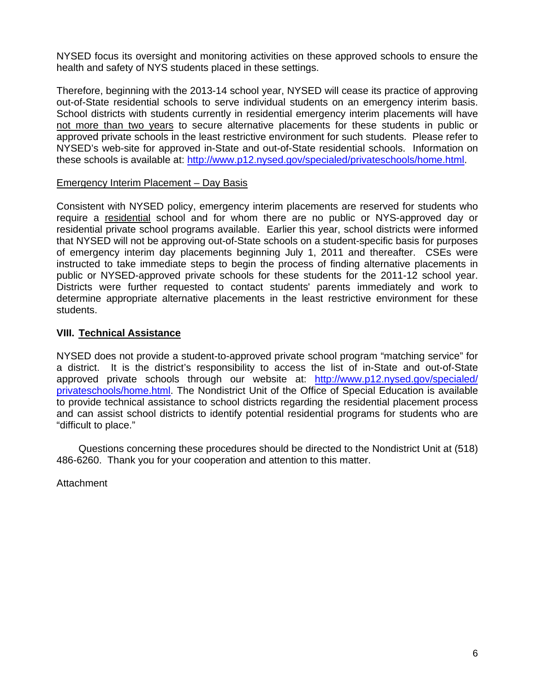NYSED focus its oversight and monitoring activities on these approved schools to ensure the health and safety of NYS students placed in these settings.

Therefore, beginning with the 2013-14 school year, NYSED will cease its practice of approving out-of-State residential schools to serve individual students on an emergency interim basis. School districts with students currently in residential emergency interim placements will have not more than two years to secure alternative placements for these students in public or approved private schools in the least restrictive environment for such students. Please refer to NYSED's web-site for approved in-State and out-of-State residential schools. Information on these schools is available at: [http://www.p12.nysed.gov/specialed/privateschools/home.html.](http://www.p12.nysed.gov/specialed/privateschools/home.html)

#### Emergency Interim Placement – Day Basis

Consistent with NYSED policy, emergency interim placements are reserved for students who require a residential school and for whom there are no public or NYS-approved day or residential private school programs available. Earlier this year, school districts were informed that NYSED will not be approving out-of-State schools on a student-specific basis for purposes of emergency interim day placements beginning July 1, 2011 and thereafter. CSEs were instructed to take immediate steps to begin the process of finding alternative placements in public or NYSED-approved private schools for these students for the 2011-12 school year. Districts were further requested to contact students' parents immediately and work to determine appropriate alternative placements in the least restrictive environment for these students.

#### **VIII. Technical Assistance**

NYSED does not provide a student-to-approved private school program "matching service" for a district. It is the district's responsibility to access the list of in-State and out-of-State approved private schools through our website at: [http://www.p12.nysed.gov/specialed/](http://www.p12.nysed.gov/specialed/privateschools/home.html) [privateschools/home.html](http://www.p12.nysed.gov/specialed/privateschools/home.html). The Nondistrict Unit of the Office of Special Education is available to provide technical assistance to school districts regarding the residential placement process and can assist school districts to identify potential residential programs for students who are "difficult to place."

 Questions concerning these procedures should be directed to the Nondistrict Unit at (518) 486-6260. Thank you for your cooperation and attention to this matter.

**Attachment**